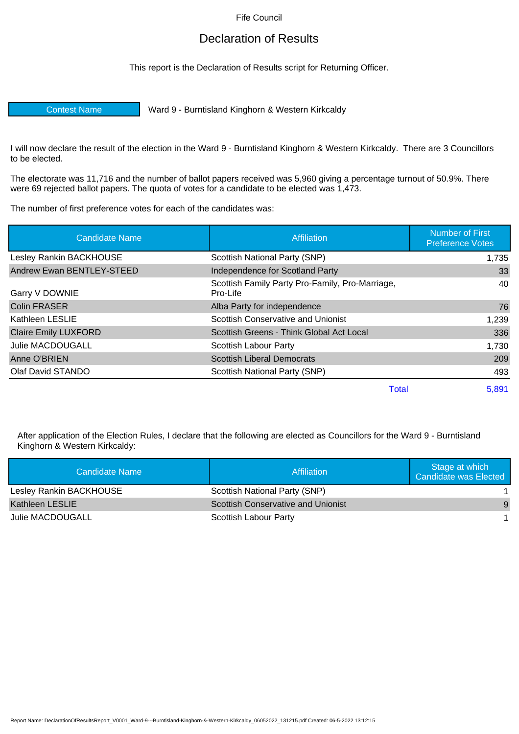Fife Council

## Declaration of Results

This report is the Declaration of Results script for Returning Officer.

Contest Name Ward 9 - Burntisland Kinghorn & Western Kirkcaldy

I will now declare the result of the election in the Ward 9 - Burntisland Kinghorn & Western Kirkcaldy. There are 3 Councillors to be elected.

The electorate was 11,716 and the number of ballot papers received was 5,960 giving a percentage turnout of 50.9%. There were 69 rejected ballot papers. The quota of votes for a candidate to be elected was 1,473.

The number of first preference votes for each of the candidates was:

| <b>Candidate Name</b>       | Affiliation                                                 | <b>Number of First</b><br><b>Preference Votes</b> |
|-----------------------------|-------------------------------------------------------------|---------------------------------------------------|
| Lesley Rankin BACKHOUSE     | Scottish National Party (SNP)                               | 1,735                                             |
| Andrew Ewan BENTLEY-STEED   | Independence for Scotland Party                             | 33                                                |
| Garry V DOWNIE              | Scottish Family Party Pro-Family, Pro-Marriage,<br>Pro-Life | 40                                                |
| <b>Colin FRASER</b>         | Alba Party for independence                                 | 76                                                |
| Kathleen LESLIE             | Scottish Conservative and Unionist                          | 1,239                                             |
| <b>Claire Emily LUXFORD</b> | Scottish Greens - Think Global Act Local                    | 336                                               |
| Julie MACDOUGALL            | Scottish Labour Party                                       | 1,730                                             |
| Anne O'BRIEN                | <b>Scottish Liberal Democrats</b>                           | 209                                               |
| Olaf David STANDO           | Scottish National Party (SNP)                               | 493                                               |
|                             | Total                                                       | 5,891                                             |

After application of the Election Rules, I declare that the following are elected as Councillors for the Ward 9 - Burntisland Kinghorn & Western Kirkcaldy:

| Candidate Name          | Affiliation                               | Stage at which<br>Candidate was Elected |
|-------------------------|-------------------------------------------|-----------------------------------------|
| Lesley Rankin BACKHOUSE | Scottish National Party (SNP)             |                                         |
| Kathleen LESLIE         | <b>Scottish Conservative and Unionist</b> | 9                                       |
| Julie MACDOUGALL        | Scottish Labour Party                     |                                         |